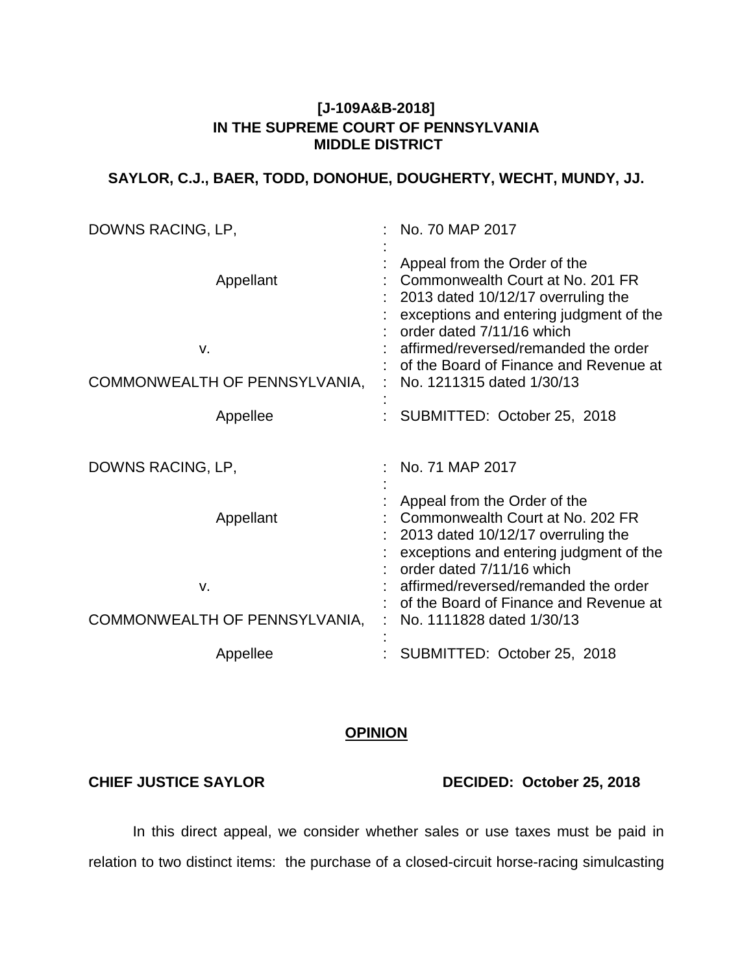## **[J-109A&B-2018] IN THE SUPREME COURT OF PENNSYLVANIA MIDDLE DISTRICT**

# **SAYLOR, C.J., BAER, TODD, DONOHUE, DOUGHERTY, WECHT, MUNDY, JJ.**

| DOWNS RACING, LP,                                | No. 70 MAP 2017                                                                                                                                                                                                                                                                               |
|--------------------------------------------------|-----------------------------------------------------------------------------------------------------------------------------------------------------------------------------------------------------------------------------------------------------------------------------------------------|
| Appellant<br>٧.<br>COMMONWEALTH OF PENNSYLVANIA, | Appeal from the Order of the<br>Commonwealth Court at No. 201 FR<br>2013 dated 10/12/17 overruling the<br>exceptions and entering judgment of the<br>order dated 7/11/16 which<br>affirmed/reversed/remanded the order<br>of the Board of Finance and Revenue at<br>No. 1211315 dated 1/30/13 |
| Appellee                                         | SUBMITTED: October 25, 2018                                                                                                                                                                                                                                                                   |
| DOWNS RACING, LP,                                | No. 71 MAP 2017                                                                                                                                                                                                                                                                               |
| Appellant<br>v.                                  | Appeal from the Order of the<br>Commonwealth Court at No. 202 FR<br>2013 dated 10/12/17 overruling the<br>exceptions and entering judgment of the<br>order dated 7/11/16 which<br>affirmed/reversed/remanded the order                                                                        |
| COMMONWEALTH OF PENNSYLVANIA,                    | of the Board of Finance and Revenue at<br>No. 1111828 dated 1/30/13                                                                                                                                                                                                                           |
| Appellee                                         | SUBMITTED: October 25, 2018                                                                                                                                                                                                                                                                   |

# **OPINION**

**CHIEF JUSTICE SAYLOR DECIDED: October 25, 2018**

In this direct appeal, we consider whether sales or use taxes must be paid in relation to two distinct items: the purchase of a closed-circuit horse-racing simulcasting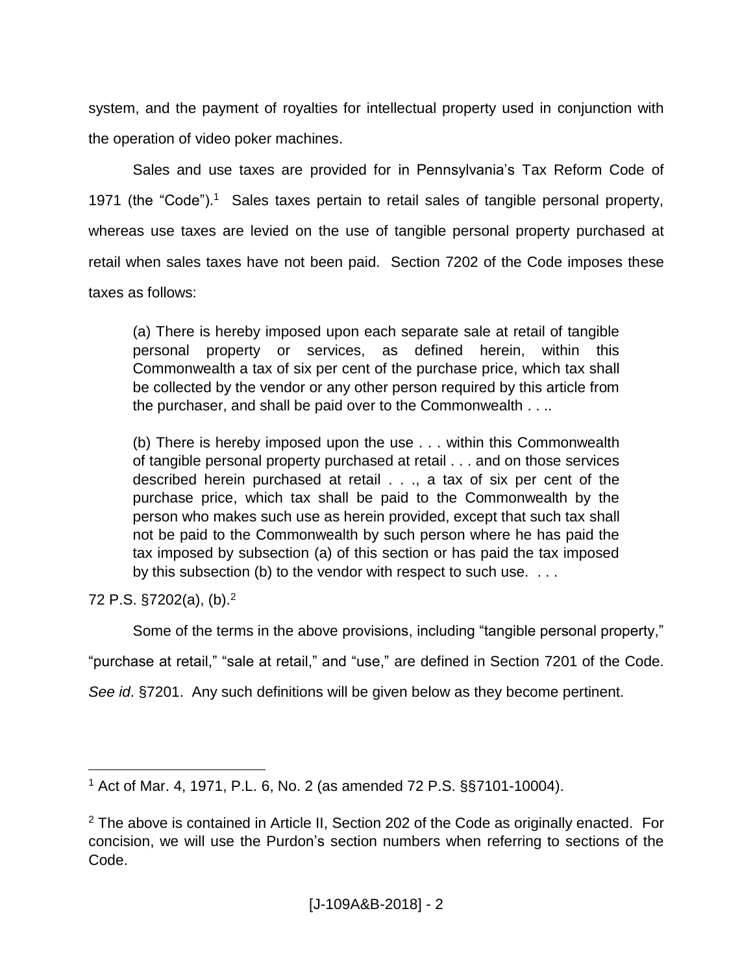system, and the payment of royalties for intellectual property used in conjunction with the operation of video poker machines.

Sales and use taxes are provided for in Pennsylvania's Tax Reform Code of 1971 (the "Code").<sup>1</sup> Sales taxes pertain to retail sales of tangible personal property, whereas use taxes are levied on the use of tangible personal property purchased at retail when sales taxes have not been paid. Section 7202 of the Code imposes these taxes as follows:

(a) There is hereby imposed upon each separate sale at retail of tangible personal property or services, as defined herein, within this Commonwealth a tax of six per cent of the purchase price, which tax shall be collected by the vendor or any other person required by this article from the purchaser, and shall be paid over to the Commonwealth . . ..

(b) There is hereby imposed upon the use . . . within this Commonwealth of tangible personal property purchased at retail . . . and on those services described herein purchased at retail . . ., a tax of six per cent of the purchase price, which tax shall be paid to the Commonwealth by the person who makes such use as herein provided, except that such tax shall not be paid to the Commonwealth by such person where he has paid the tax imposed by subsection (a) of this section or has paid the tax imposed by this subsection (b) to the vendor with respect to such use. ...

72 P.S. §7202(a), (b).<sup>2</sup>

 $\overline{a}$ 

Some of the terms in the above provisions, including "tangible personal property,"

"purchase at retail," "sale at retail," and "use," are defined in Section 7201 of the Code.

*See id*. §7201. Any such definitions will be given below as they become pertinent.

<sup>1</sup> Act of Mar. 4, 1971, P.L. 6, No. 2 (as amended 72 P.S. §§7101-10004).

 $2$  The above is contained in Article II, Section 202 of the Code as originally enacted. For concision, we will use the Purdon's section numbers when referring to sections of the Code.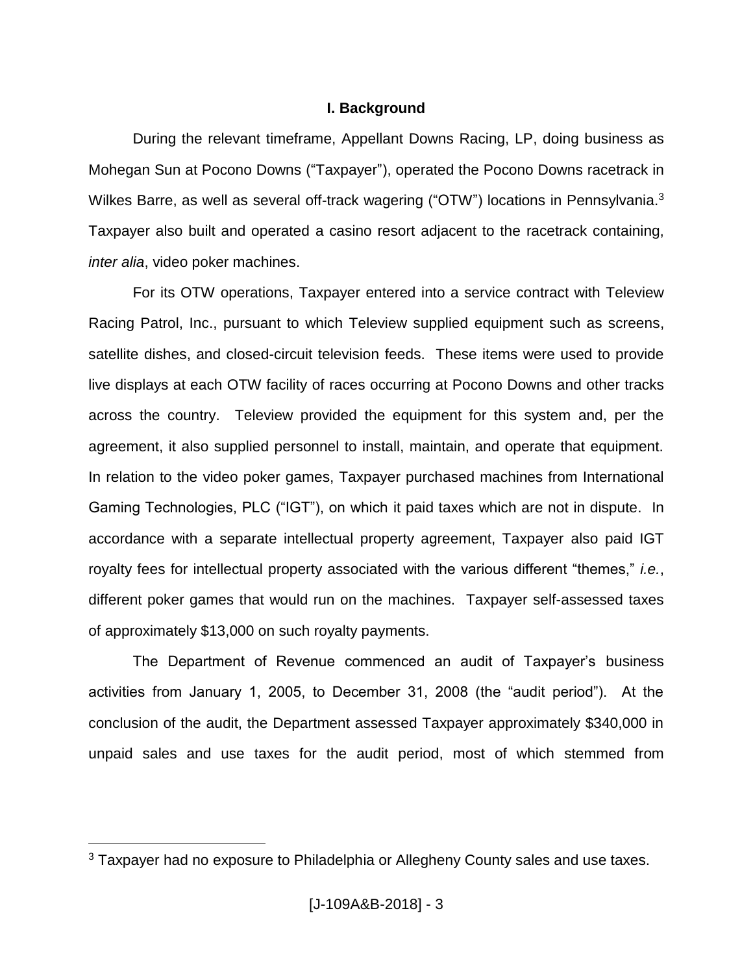## **I. Background**

During the relevant timeframe, Appellant Downs Racing, LP, doing business as Mohegan Sun at Pocono Downs ("Taxpayer"), operated the Pocono Downs racetrack in Wilkes Barre, as well as several off-track wagering ("OTW") locations in Pennsylvania.<sup>3</sup> Taxpayer also built and operated a casino resort adjacent to the racetrack containing, *inter alia*, video poker machines.

For its OTW operations, Taxpayer entered into a service contract with Teleview Racing Patrol, Inc., pursuant to which Teleview supplied equipment such as screens, satellite dishes, and closed-circuit television feeds. These items were used to provide live displays at each OTW facility of races occurring at Pocono Downs and other tracks across the country. Teleview provided the equipment for this system and, per the agreement, it also supplied personnel to install, maintain, and operate that equipment. In relation to the video poker games, Taxpayer purchased machines from International Gaming Technologies, PLC ("IGT"), on which it paid taxes which are not in dispute. In accordance with a separate intellectual property agreement, Taxpayer also paid IGT royalty fees for intellectual property associated with the various different "themes," *i.e.*, different poker games that would run on the machines. Taxpayer self-assessed taxes of approximately \$13,000 on such royalty payments.

The Department of Revenue commenced an audit of Taxpayer's business activities from January 1, 2005, to December 31, 2008 (the "audit period"). At the conclusion of the audit, the Department assessed Taxpayer approximately \$340,000 in unpaid sales and use taxes for the audit period, most of which stemmed from

<sup>&</sup>lt;sup>3</sup> Taxpayer had no exposure to Philadelphia or Allegheny County sales and use taxes.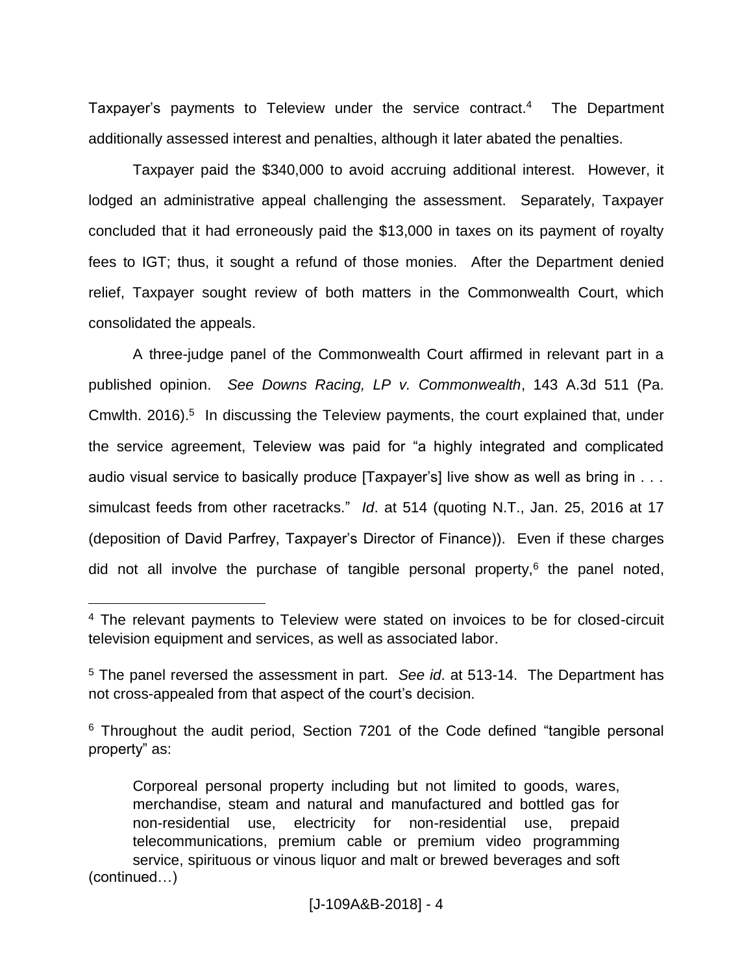Taxpayer's payments to Teleview under the service contract.<sup>4</sup> The Department additionally assessed interest and penalties, although it later abated the penalties.

Taxpayer paid the \$340,000 to avoid accruing additional interest. However, it lodged an administrative appeal challenging the assessment. Separately, Taxpayer concluded that it had erroneously paid the \$13,000 in taxes on its payment of royalty fees to IGT; thus, it sought a refund of those monies. After the Department denied relief, Taxpayer sought review of both matters in the Commonwealth Court, which consolidated the appeals.

A three-judge panel of the Commonwealth Court affirmed in relevant part in a published opinion. *See Downs Racing, LP v. Commonwealth*, 143 A.3d 511 (Pa. Cmwlth. 2016).<sup>5</sup> In discussing the Teleview payments, the court explained that, under the service agreement, Teleview was paid for "a highly integrated and complicated audio visual service to basically produce [Taxpayer's] live show as well as bring in . . . simulcast feeds from other racetracks." *Id*. at 514 (quoting N.T., Jan. 25, 2016 at 17 (deposition of David Parfrey, Taxpayer's Director of Finance)). Even if these charges did not all involve the purchase of tangible personal property,<sup>6</sup> the panel noted,

<sup>4</sup> The relevant payments to Teleview were stated on invoices to be for closed-circuit television equipment and services, as well as associated labor.

<sup>5</sup> The panel reversed the assessment in part. *See id*. at 513-14. The Department has not cross-appealed from that aspect of the court's decision.

<sup>&</sup>lt;sup>6</sup> Throughout the audit period, Section 7201 of the Code defined "tangible personal property" as:

Corporeal personal property including but not limited to goods, wares, merchandise, steam and natural and manufactured and bottled gas for non-residential use, electricity for non-residential use, prepaid telecommunications, premium cable or premium video programming service, spirituous or vinous liquor and malt or brewed beverages and soft (continued…)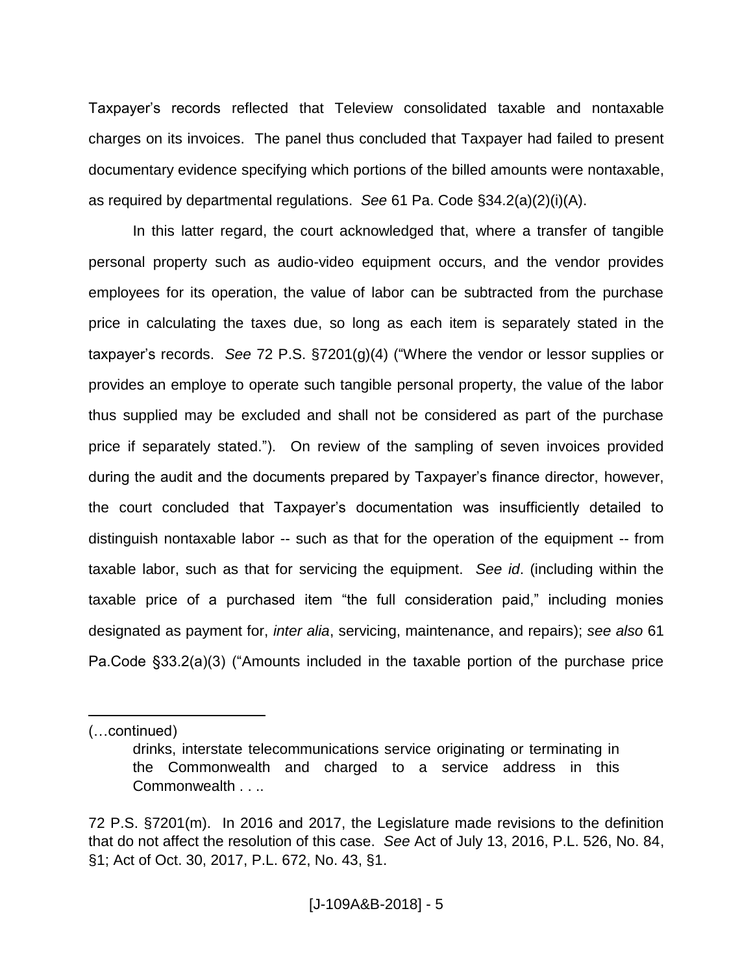Taxpayer's records reflected that Teleview consolidated taxable and nontaxable charges on its invoices. The panel thus concluded that Taxpayer had failed to present documentary evidence specifying which portions of the billed amounts were nontaxable, as required by departmental regulations. *See* 61 Pa. Code §34.2(a)(2)(i)(A).

In this latter regard, the court acknowledged that, where a transfer of tangible personal property such as audio-video equipment occurs, and the vendor provides employees for its operation, the value of labor can be subtracted from the purchase price in calculating the taxes due, so long as each item is separately stated in the taxpayer's records. *See* 72 P.S. §7201(g)(4) ("Where the vendor or lessor supplies or provides an employe to operate such tangible personal property, the value of the labor thus supplied may be excluded and shall not be considered as part of the purchase price if separately stated."). On review of the sampling of seven invoices provided during the audit and the documents prepared by Taxpayer's finance director, however, the court concluded that Taxpayer's documentation was insufficiently detailed to distinguish nontaxable labor -- such as that for the operation of the equipment -- from taxable labor, such as that for servicing the equipment. *See id*. (including within the taxable price of a purchased item "the full consideration paid," including monies designated as payment for, *inter alia*, servicing, maintenance, and repairs); *see also* 61 Pa.Code §33.2(a)(3) ("Amounts included in the taxable portion of the purchase price

(…continued)

drinks, interstate telecommunications service originating or terminating in the Commonwealth and charged to a service address in this Commonwealth . . ..

<sup>72</sup> P.S. §7201(m). In 2016 and 2017, the Legislature made revisions to the definition that do not affect the resolution of this case. *See* Act of July 13, 2016, P.L. 526, No. 84, §1; Act of Oct. 30, 2017, P.L. 672, No. 43, §1.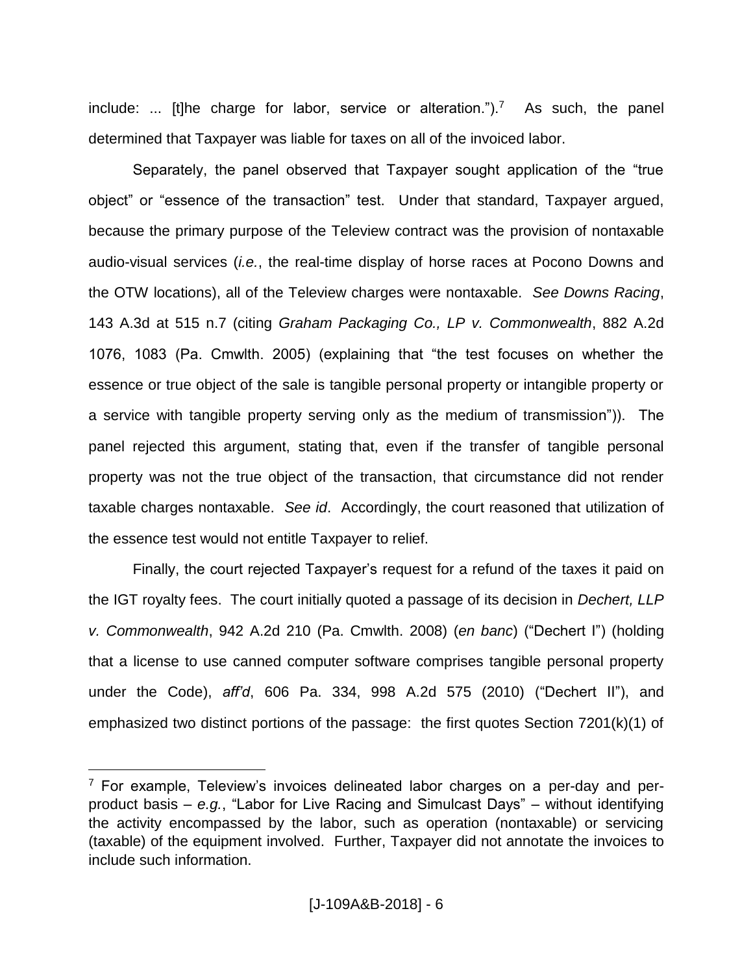include: ... [t]he charge for labor, service or alteration.").<sup>7</sup> As such, the panel determined that Taxpayer was liable for taxes on all of the invoiced labor.

Separately, the panel observed that Taxpayer sought application of the "true object" or "essence of the transaction" test. Under that standard, Taxpayer argued, because the primary purpose of the Teleview contract was the provision of nontaxable audio-visual services (*i.e.*, the real-time display of horse races at Pocono Downs and the OTW locations), all of the Teleview charges were nontaxable. *See Downs Racing*, 143 A.3d at 515 n.7 (citing *Graham Packaging Co., LP v. Commonwealth*, 882 A.2d 1076, 1083 (Pa. Cmwlth. 2005) (explaining that "the test focuses on whether the essence or true object of the sale is tangible personal property or intangible property or a service with tangible property serving only as the medium of transmission")). The panel rejected this argument, stating that, even if the transfer of tangible personal property was not the true object of the transaction, that circumstance did not render taxable charges nontaxable. *See id*. Accordingly, the court reasoned that utilization of the essence test would not entitle Taxpayer to relief.

Finally, the court rejected Taxpayer's request for a refund of the taxes it paid on the IGT royalty fees. The court initially quoted a passage of its decision in *Dechert, LLP v. Commonwealth*, 942 A.2d 210 (Pa. Cmwlth. 2008) (*en banc*) ("Dechert I") (holding that a license to use canned computer software comprises tangible personal property under the Code), *aff'd*, 606 Pa. 334, 998 A.2d 575 (2010) ("Dechert II"), and emphasized two distinct portions of the passage: the first quotes Section 7201(k)(1) of

 $7$  For example, Teleview's invoices delineated labor charges on a per-day and perproduct basis – *e.g.*, "Labor for Live Racing and Simulcast Days" – without identifying the activity encompassed by the labor, such as operation (nontaxable) or servicing (taxable) of the equipment involved. Further, Taxpayer did not annotate the invoices to include such information.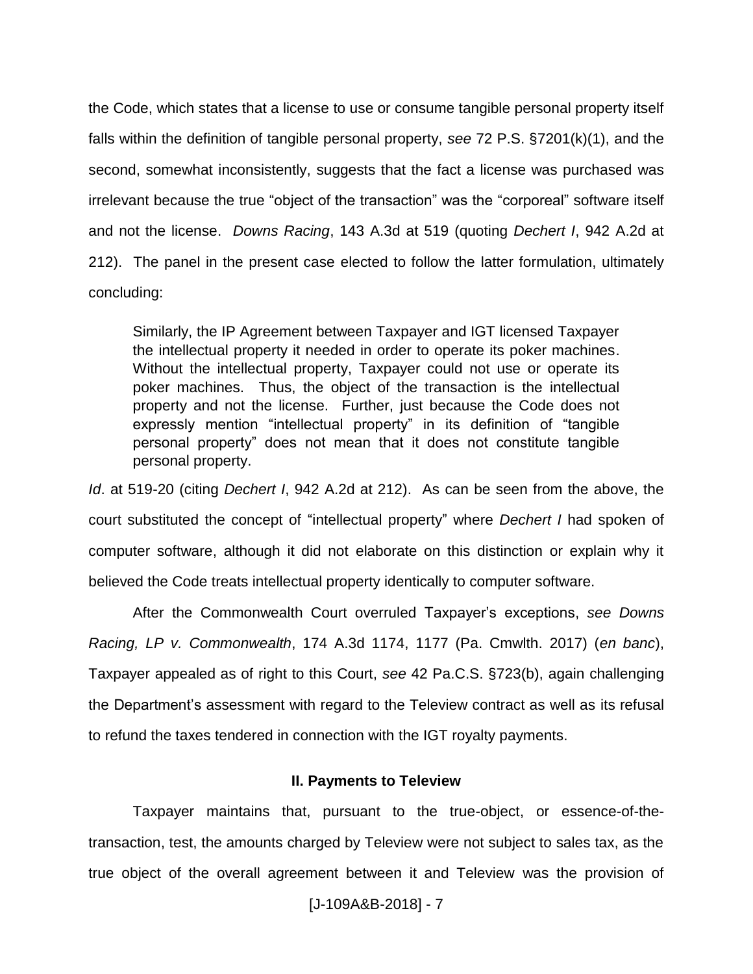the Code, which states that a license to use or consume tangible personal property itself falls within the definition of tangible personal property, *see* 72 P.S. §7201(k)(1), and the second, somewhat inconsistently, suggests that the fact a license was purchased was irrelevant because the true "object of the transaction" was the "corporeal" software itself and not the license. *Downs Racing*, 143 A.3d at 519 (quoting *Dechert I*, 942 A.2d at 212). The panel in the present case elected to follow the latter formulation, ultimately concluding:

Similarly, the IP Agreement between Taxpayer and IGT licensed Taxpayer the intellectual property it needed in order to operate its poker machines. Without the intellectual property, Taxpayer could not use or operate its poker machines. Thus, the object of the transaction is the intellectual property and not the license. Further, just because the Code does not expressly mention "intellectual property" in its definition of "tangible personal property" does not mean that it does not constitute tangible personal property.

*Id*. at 519-20 (citing *Dechert I*, 942 A.2d at 212). As can be seen from the above, the court substituted the concept of "intellectual property" where *Dechert I* had spoken of computer software, although it did not elaborate on this distinction or explain why it believed the Code treats intellectual property identically to computer software.

After the Commonwealth Court overruled Taxpayer's exceptions, *see Downs Racing, LP v. Commonwealth*, 174 A.3d 1174, 1177 (Pa. Cmwlth. 2017) (*en banc*), Taxpayer appealed as of right to this Court, *see* 42 Pa.C.S. §723(b), again challenging the Department's assessment with regard to the Teleview contract as well as its refusal to refund the taxes tendered in connection with the IGT royalty payments.

### **II. Payments to Teleview**

Taxpayer maintains that, pursuant to the true-object, or essence-of-thetransaction, test, the amounts charged by Teleview were not subject to sales tax, as the true object of the overall agreement between it and Teleview was the provision of

[J-109A&B-2018] - 7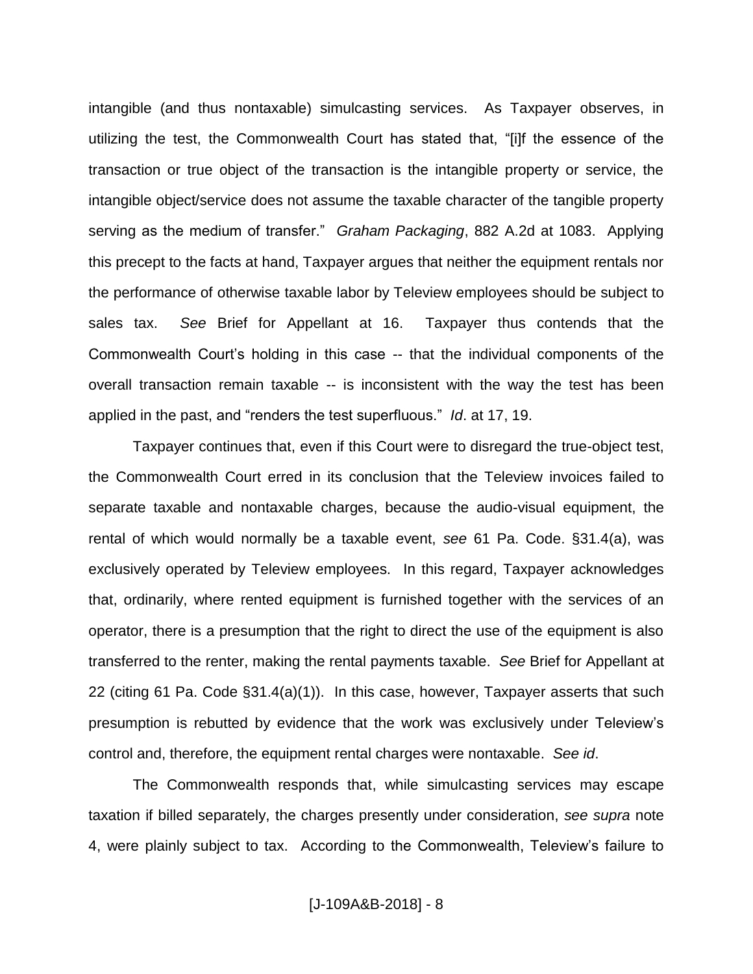intangible (and thus nontaxable) simulcasting services. As Taxpayer observes, in utilizing the test, the Commonwealth Court has stated that, "[i]f the essence of the transaction or true object of the transaction is the intangible property or service, the intangible object/service does not assume the taxable character of the tangible property serving as the medium of transfer." *Graham Packaging*, 882 A.2d at 1083. Applying this precept to the facts at hand, Taxpayer argues that neither the equipment rentals nor the performance of otherwise taxable labor by Teleview employees should be subject to sales tax. *See* Brief for Appellant at 16. Taxpayer thus contends that the Commonwealth Court's holding in this case -- that the individual components of the overall transaction remain taxable -- is inconsistent with the way the test has been applied in the past, and "renders the test superfluous." *Id*. at 17, 19.

Taxpayer continues that, even if this Court were to disregard the true-object test, the Commonwealth Court erred in its conclusion that the Teleview invoices failed to separate taxable and nontaxable charges, because the audio-visual equipment, the rental of which would normally be a taxable event, *see* 61 Pa. Code. §31.4(a), was exclusively operated by Teleview employees. In this regard, Taxpayer acknowledges that, ordinarily, where rented equipment is furnished together with the services of an operator, there is a presumption that the right to direct the use of the equipment is also transferred to the renter, making the rental payments taxable. *See* Brief for Appellant at 22 (citing 61 Pa. Code §31.4(a)(1)). In this case, however, Taxpayer asserts that such presumption is rebutted by evidence that the work was exclusively under Teleview's control and, therefore, the equipment rental charges were nontaxable. *See id*.

The Commonwealth responds that, while simulcasting services may escape taxation if billed separately, the charges presently under consideration, *see supra* note 4, were plainly subject to tax. According to the Commonwealth, Teleview's failure to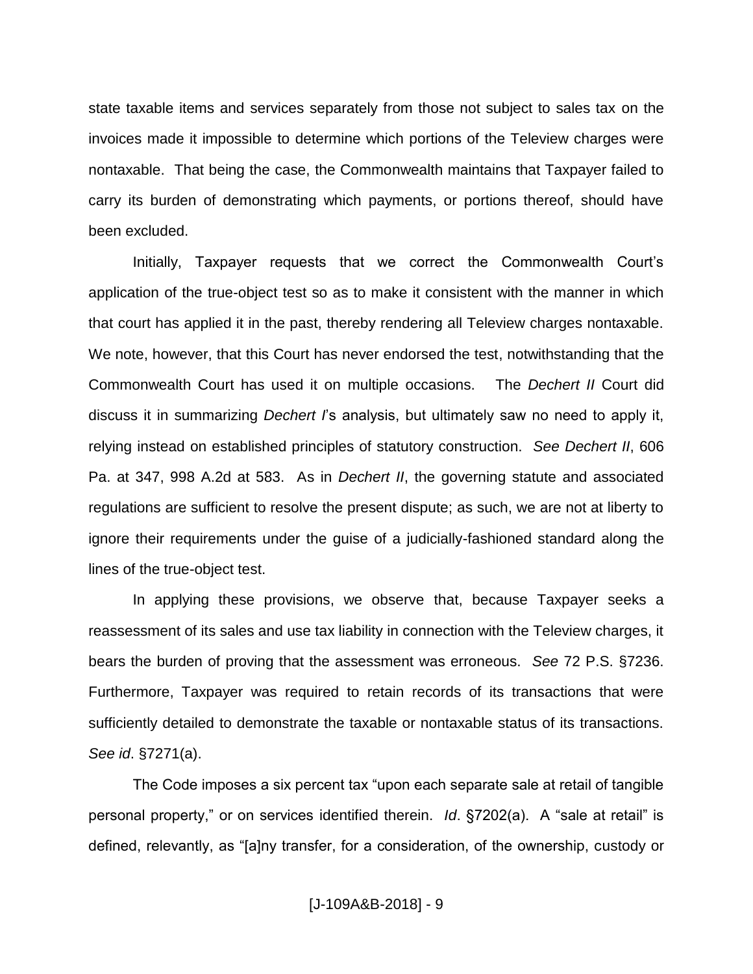state taxable items and services separately from those not subject to sales tax on the invoices made it impossible to determine which portions of the Teleview charges were nontaxable. That being the case, the Commonwealth maintains that Taxpayer failed to carry its burden of demonstrating which payments, or portions thereof, should have been excluded.

Initially, Taxpayer requests that we correct the Commonwealth Court's application of the true-object test so as to make it consistent with the manner in which that court has applied it in the past, thereby rendering all Teleview charges nontaxable. We note, however, that this Court has never endorsed the test, notwithstanding that the Commonwealth Court has used it on multiple occasions. The *Dechert II* Court did discuss it in summarizing *Dechert I*'s analysis, but ultimately saw no need to apply it, relying instead on established principles of statutory construction. *See Dechert II*, 606 Pa. at 347, 998 A.2d at 583. As in *Dechert II*, the governing statute and associated regulations are sufficient to resolve the present dispute; as such, we are not at liberty to ignore their requirements under the guise of a judicially-fashioned standard along the lines of the true-object test.

In applying these provisions, we observe that, because Taxpayer seeks a reassessment of its sales and use tax liability in connection with the Teleview charges, it bears the burden of proving that the assessment was erroneous. *See* 72 P.S. §7236. Furthermore, Taxpayer was required to retain records of its transactions that were sufficiently detailed to demonstrate the taxable or nontaxable status of its transactions. *See id*. §7271(a).

The Code imposes a six percent tax "upon each separate sale at retail of tangible personal property," or on services identified therein. *Id*. §7202(a). A "sale at retail" is defined, relevantly, as "[a]ny transfer, for a consideration, of the ownership, custody or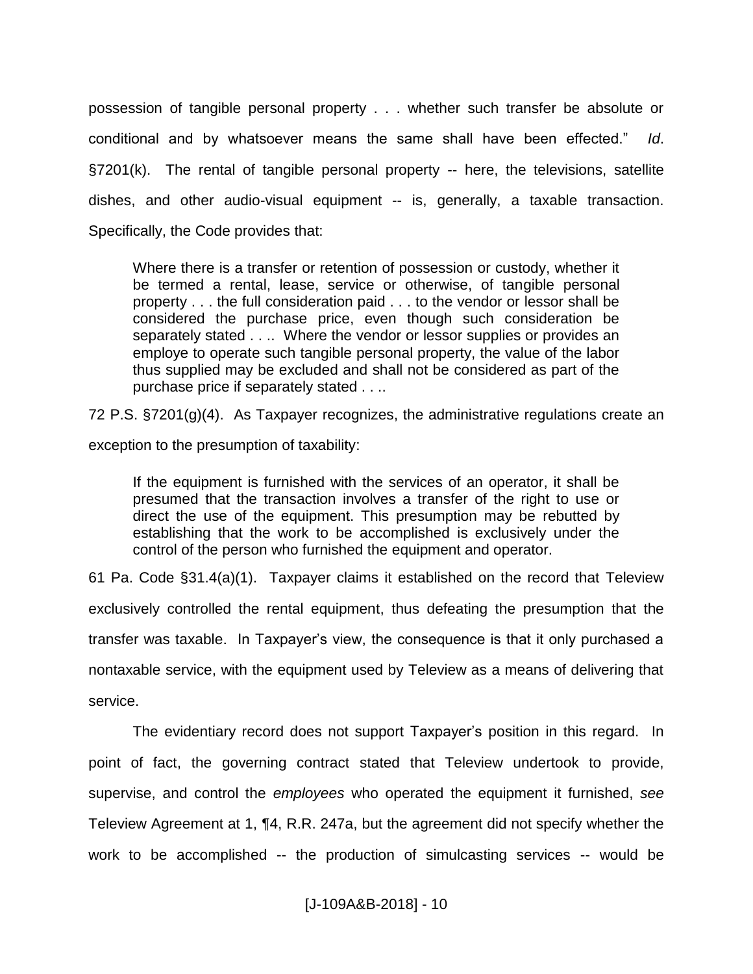possession of tangible personal property . . . whether such transfer be absolute or conditional and by whatsoever means the same shall have been effected." *Id*. §7201(k). The rental of tangible personal property -- here, the televisions, satellite dishes, and other audio-visual equipment -- is, generally, a taxable transaction. Specifically, the Code provides that:

Where there is a transfer or retention of possession or custody, whether it be termed a rental, lease, service or otherwise, of tangible personal property . . . the full consideration paid . . . to the vendor or lessor shall be considered the purchase price, even though such consideration be separately stated . . .. Where the vendor or lessor supplies or provides an employe to operate such tangible personal property, the value of the labor thus supplied may be excluded and shall not be considered as part of the purchase price if separately stated . . ..

72 P.S. §7201(g)(4). As Taxpayer recognizes, the administrative regulations create an

exception to the presumption of taxability:

If the equipment is furnished with the services of an operator, it shall be presumed that the transaction involves a transfer of the right to use or direct the use of the equipment. This presumption may be rebutted by establishing that the work to be accomplished is exclusively under the control of the person who furnished the equipment and operator.

61 Pa. Code §31.4(a)(1). Taxpayer claims it established on the record that Teleview exclusively controlled the rental equipment, thus defeating the presumption that the transfer was taxable. In Taxpayer's view, the consequence is that it only purchased a nontaxable service, with the equipment used by Teleview as a means of delivering that service.

The evidentiary record does not support Taxpayer's position in this regard. In point of fact, the governing contract stated that Teleview undertook to provide, supervise, and control the *employees* who operated the equipment it furnished, *see* Teleview Agreement at 1, ¶4, R.R. 247a, but the agreement did not specify whether the work to be accomplished -- the production of simulcasting services -- would be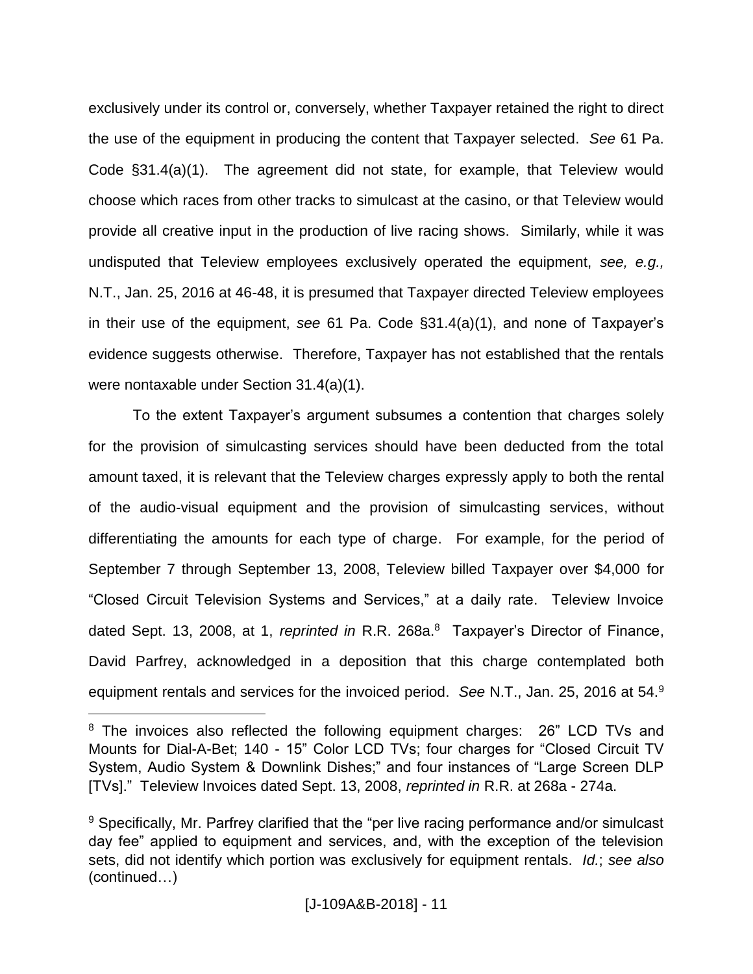exclusively under its control or, conversely, whether Taxpayer retained the right to direct the use of the equipment in producing the content that Taxpayer selected. *See* 61 Pa. Code §31.4(a)(1). The agreement did not state, for example, that Teleview would choose which races from other tracks to simulcast at the casino, or that Teleview would provide all creative input in the production of live racing shows. Similarly, while it was undisputed that Teleview employees exclusively operated the equipment, *see, e.g.,*  N.T., Jan. 25, 2016 at 46-48, it is presumed that Taxpayer directed Teleview employees in their use of the equipment, *see* 61 Pa. Code §31.4(a)(1), and none of Taxpayer's evidence suggests otherwise. Therefore, Taxpayer has not established that the rentals were nontaxable under Section 31.4(a)(1).

To the extent Taxpayer's argument subsumes a contention that charges solely for the provision of simulcasting services should have been deducted from the total amount taxed, it is relevant that the Teleview charges expressly apply to both the rental of the audio-visual equipment and the provision of simulcasting services, without differentiating the amounts for each type of charge. For example, for the period of September 7 through September 13, 2008, Teleview billed Taxpayer over \$4,000 for "Closed Circuit Television Systems and Services," at a daily rate. Teleview Invoice dated Sept. 13, 2008, at 1, *reprinted in* R.R. 268a.<sup>8</sup> Taxpayer's Director of Finance, David Parfrey, acknowledged in a deposition that this charge contemplated both equipment rentals and services for the invoiced period. *See* N.T., Jan. 25, 2016 at 54.<sup>9</sup>

<sup>&</sup>lt;sup>8</sup> The invoices also reflected the following equipment charges: 26" LCD TVs and Mounts for Dial-A-Bet; 140 - 15" Color LCD TVs; four charges for "Closed Circuit TV System, Audio System & Downlink Dishes;" and four instances of "Large Screen DLP [TVs]." Teleview Invoices dated Sept. 13, 2008, *reprinted in* R.R. at 268a - 274a.

<sup>&</sup>lt;sup>9</sup> Specifically, Mr. Parfrey clarified that the "per live racing performance and/or simulcast day fee" applied to equipment and services, and, with the exception of the television sets, did not identify which portion was exclusively for equipment rentals. *Id.*; *see also*  (continued…)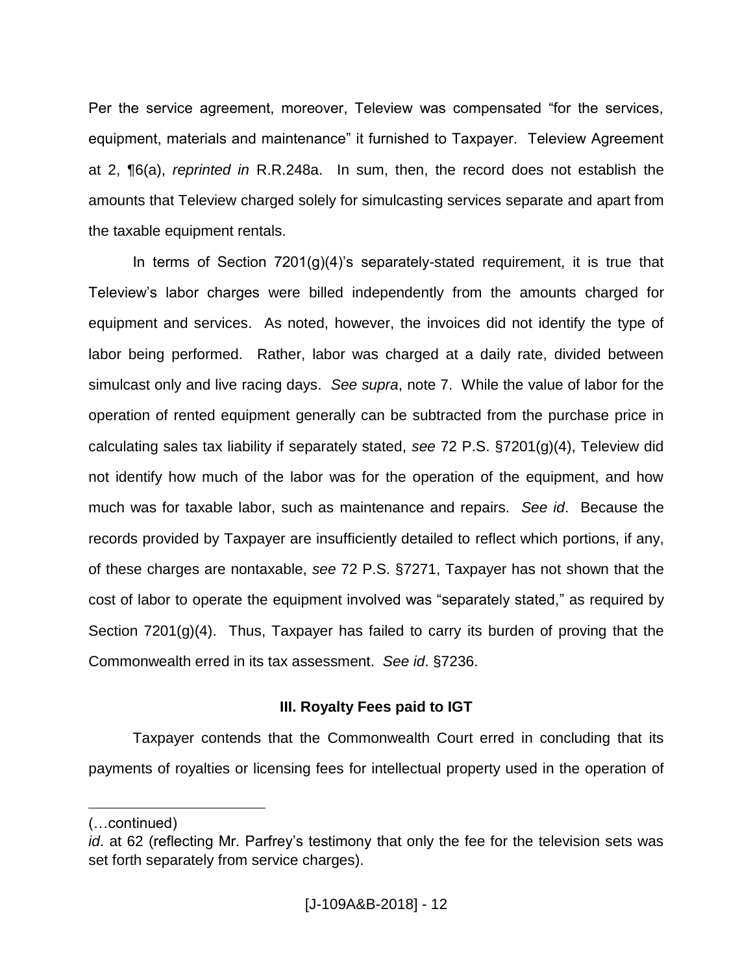Per the service agreement, moreover, Teleview was compensated "for the services, equipment, materials and maintenance" it furnished to Taxpayer. Teleview Agreement at 2, ¶6(a), *reprinted in* R.R.248a. In sum, then, the record does not establish the amounts that Teleview charged solely for simulcasting services separate and apart from the taxable equipment rentals.

In terms of Section  $7201(g)(4)$ 's separately-stated requirement, it is true that Teleview's labor charges were billed independently from the amounts charged for equipment and services. As noted, however, the invoices did not identify the type of labor being performed. Rather, labor was charged at a daily rate, divided between simulcast only and live racing days. *See supra*, note 7. While the value of labor for the operation of rented equipment generally can be subtracted from the purchase price in calculating sales tax liability if separately stated, *see* 72 P.S. §7201(g)(4), Teleview did not identify how much of the labor was for the operation of the equipment, and how much was for taxable labor, such as maintenance and repairs. *See id*. Because the records provided by Taxpayer are insufficiently detailed to reflect which portions, if any, of these charges are nontaxable, *see* 72 P.S. §7271, Taxpayer has not shown that the cost of labor to operate the equipment involved was "separately stated," as required by Section 7201(g)(4). Thus, Taxpayer has failed to carry its burden of proving that the Commonwealth erred in its tax assessment. *See id*. §7236.

# **III. Royalty Fees paid to IGT**

Taxpayer contends that the Commonwealth Court erred in concluding that its payments of royalties or licensing fees for intellectual property used in the operation of

<sup>(…</sup>continued)

*id*. at 62 (reflecting Mr. Parfrey's testimony that only the fee for the television sets was set forth separately from service charges).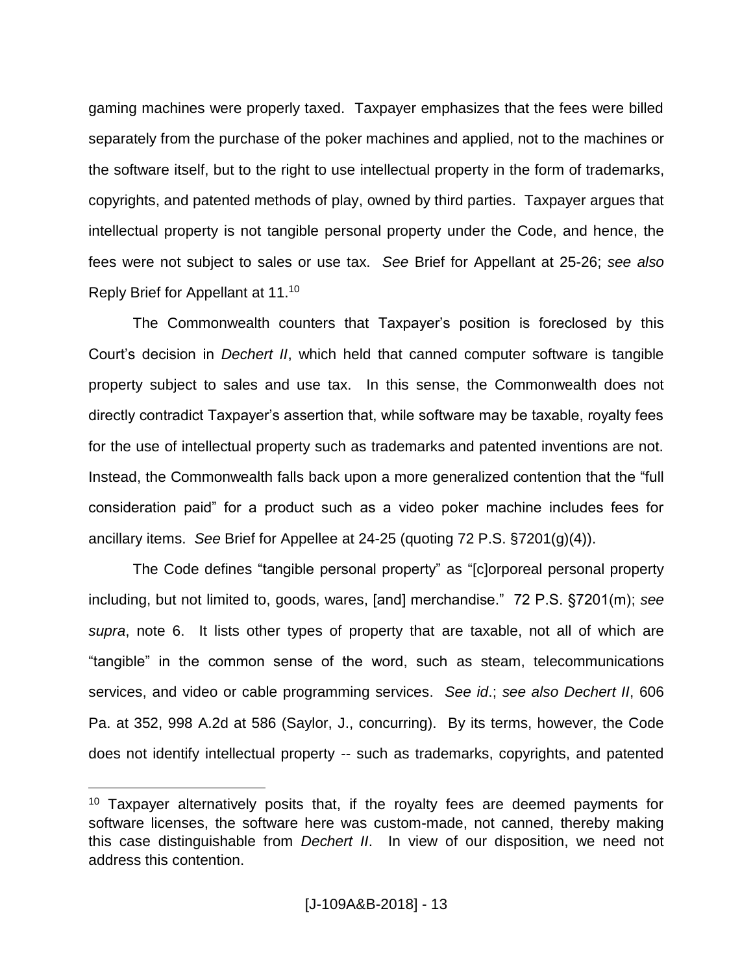gaming machines were properly taxed. Taxpayer emphasizes that the fees were billed separately from the purchase of the poker machines and applied, not to the machines or the software itself, but to the right to use intellectual property in the form of trademarks, copyrights, and patented methods of play, owned by third parties. Taxpayer argues that intellectual property is not tangible personal property under the Code, and hence, the fees were not subject to sales or use tax. *See* Brief for Appellant at 25-26; *see also*  Reply Brief for Appellant at 11.<sup>10</sup>

The Commonwealth counters that Taxpayer's position is foreclosed by this Court's decision in *Dechert II*, which held that canned computer software is tangible property subject to sales and use tax. In this sense, the Commonwealth does not directly contradict Taxpayer's assertion that, while software may be taxable, royalty fees for the use of intellectual property such as trademarks and patented inventions are not. Instead, the Commonwealth falls back upon a more generalized contention that the "full consideration paid" for a product such as a video poker machine includes fees for ancillary items. *See* Brief for Appellee at 24-25 (quoting 72 P.S. §7201(g)(4)).

The Code defines "tangible personal property" as "[c]orporeal personal property including, but not limited to, goods, wares, [and] merchandise." 72 P.S. §7201(m); *see supra*, note 6. It lists other types of property that are taxable, not all of which are "tangible" in the common sense of the word, such as steam, telecommunications services, and video or cable programming services. *See id*.; *see also Dechert II*, 606 Pa. at 352, 998 A.2d at 586 (Saylor, J., concurring). By its terms, however, the Code does not identify intellectual property -- such as trademarks, copyrights, and patented

<sup>&</sup>lt;sup>10</sup> Taxpayer alternatively posits that, if the royalty fees are deemed payments for software licenses, the software here was custom-made, not canned, thereby making this case distinguishable from *Dechert II*. In view of our disposition, we need not address this contention.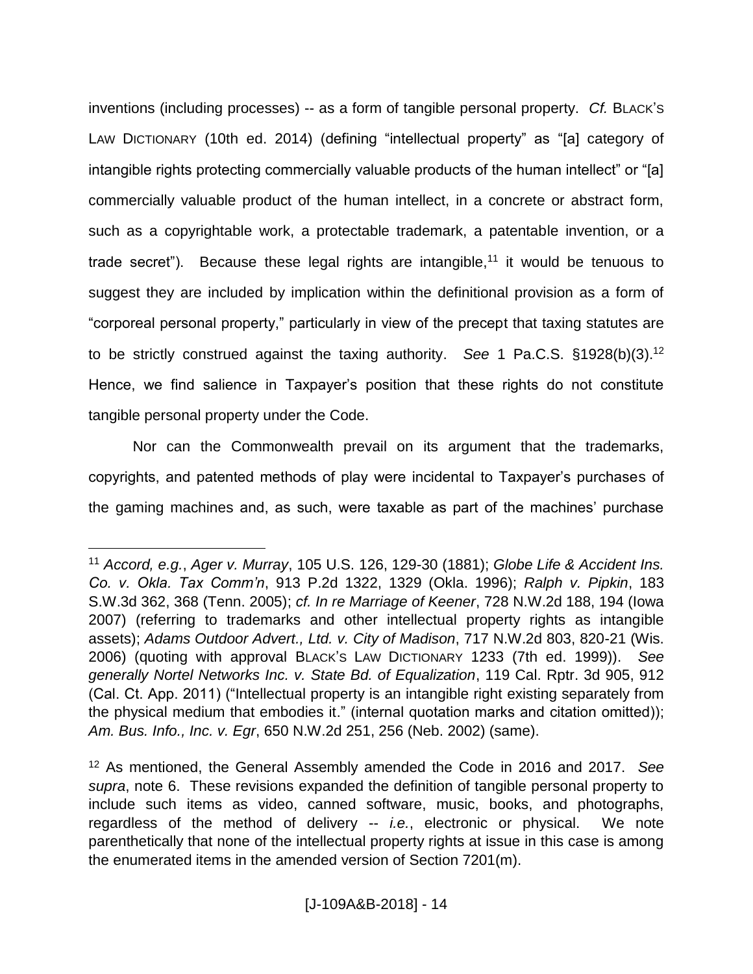inventions (including processes) -- as a form of tangible personal property. *Cf.* BLACK'S LAW DICTIONARY (10th ed. 2014) (defining "intellectual property" as "[a] category of intangible rights protecting commercially valuable products of the human intellect" or "[a] commercially valuable product of the human intellect, in a concrete or abstract form, such as a copyrightable work, a protectable trademark, a patentable invention, or a trade secret"). Because these legal rights are intangible,<sup>11</sup> it would be tenuous to suggest they are included by implication within the definitional provision as a form of "corporeal personal property," particularly in view of the precept that taxing statutes are to be strictly construed against the taxing authority. *See* 1 Pa.C.S. §1928(b)(3).<sup>12</sup> Hence, we find salience in Taxpayer's position that these rights do not constitute tangible personal property under the Code.

Nor can the Commonwealth prevail on its argument that the trademarks, copyrights, and patented methods of play were incidental to Taxpayer's purchases of the gaming machines and, as such, were taxable as part of the machines' purchase

<sup>11</sup> *Accord, e.g.*, *Ager v. Murray*, 105 U.S. 126, 129-30 (1881); *Globe Life & Accident Ins. Co. v. Okla. Tax Comm'n*, 913 P.2d 1322, 1329 (Okla. 1996); *Ralph v. Pipkin*, 183 S.W.3d 362, 368 (Tenn. 2005); *cf. In re Marriage of Keener*, 728 N.W.2d 188, 194 (Iowa 2007) (referring to trademarks and other intellectual property rights as intangible assets); *Adams Outdoor Advert., Ltd. v. City of Madison*, 717 N.W.2d 803, 820-21 (Wis. 2006) (quoting with approval BLACK'S LAW DICTIONARY 1233 (7th ed. 1999)). *See generally Nortel Networks Inc. v. State Bd. of Equalization*, 119 Cal. Rptr. 3d 905, 912 (Cal. Ct. App. 2011) ("Intellectual property is an intangible right existing separately from the physical medium that embodies it." (internal quotation marks and citation omitted)); *Am. Bus. Info., Inc. v. Egr*, 650 N.W.2d 251, 256 (Neb. 2002) (same).

<sup>12</sup> As mentioned, the General Assembly amended the Code in 2016 and 2017. *See supra*, note 6. These revisions expanded the definition of tangible personal property to include such items as video, canned software, music, books, and photographs, regardless of the method of delivery -- *i.e.*, electronic or physical. We note parenthetically that none of the intellectual property rights at issue in this case is among the enumerated items in the amended version of Section 7201(m).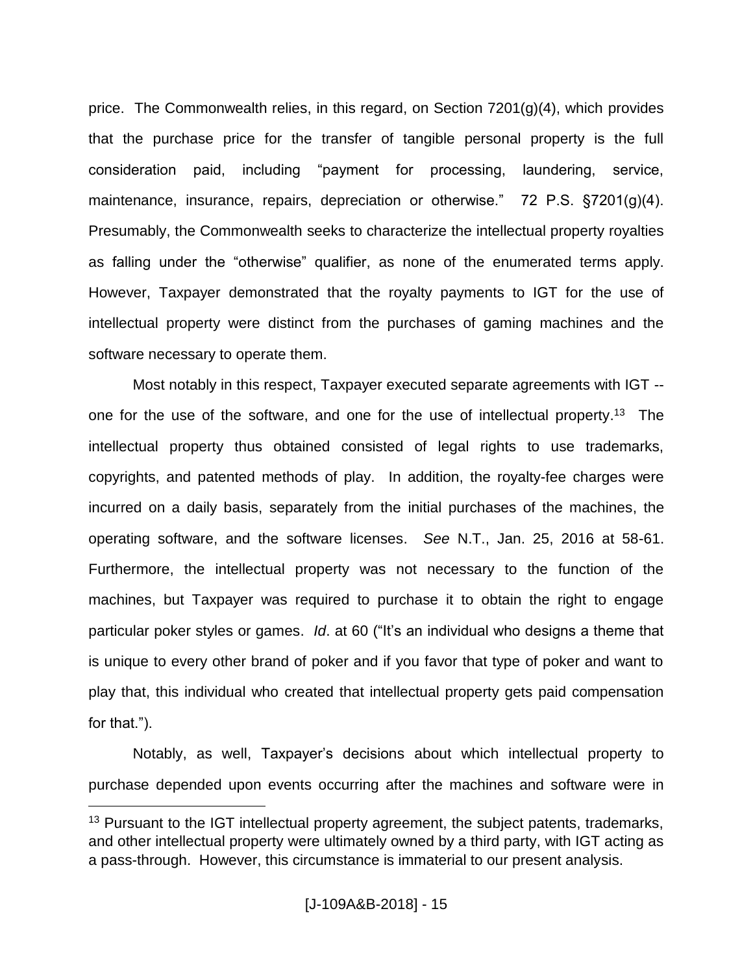price. The Commonwealth relies, in this regard, on Section 7201(g)(4), which provides that the purchase price for the transfer of tangible personal property is the full consideration paid, including "payment for processing, laundering, service, maintenance, insurance, repairs, depreciation or otherwise." 72 P.S. §7201(g)(4). Presumably, the Commonwealth seeks to characterize the intellectual property royalties as falling under the "otherwise" qualifier, as none of the enumerated terms apply. However, Taxpayer demonstrated that the royalty payments to IGT for the use of intellectual property were distinct from the purchases of gaming machines and the software necessary to operate them.

Most notably in this respect, Taxpayer executed separate agreements with IGT - one for the use of the software, and one for the use of intellectual property. <sup>13</sup> The intellectual property thus obtained consisted of legal rights to use trademarks, copyrights, and patented methods of play. In addition, the royalty-fee charges were incurred on a daily basis, separately from the initial purchases of the machines, the operating software, and the software licenses. *See* N.T., Jan. 25, 2016 at 58-61. Furthermore, the intellectual property was not necessary to the function of the machines, but Taxpayer was required to purchase it to obtain the right to engage particular poker styles or games. *Id*. at 60 ("It's an individual who designs a theme that is unique to every other brand of poker and if you favor that type of poker and want to play that, this individual who created that intellectual property gets paid compensation for that.").

Notably, as well, Taxpayer's decisions about which intellectual property to purchase depended upon events occurring after the machines and software were in

<sup>&</sup>lt;sup>13</sup> Pursuant to the IGT intellectual property agreement, the subject patents, trademarks, and other intellectual property were ultimately owned by a third party, with IGT acting as a pass-through. However, this circumstance is immaterial to our present analysis.